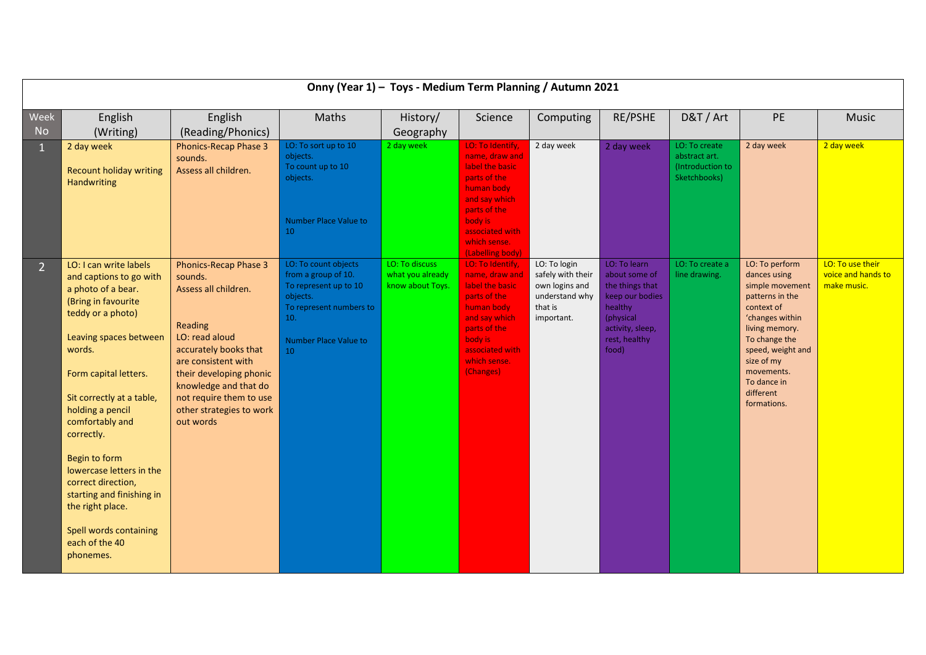|                | Onny (Year 1) - Toys - Medium Term Planning / Autumn 2021                                                                                                                                                                                                                                                                                                                                                                                       |                                                                                                                                                                                                                                                                      |                                                                                                                                                   |                                                        |                                                                                                                                                                                        |                                                                                                |                                                                                                                                           |                                                                    |                                                                                                                                                                                                                                      |                                                       |
|----------------|-------------------------------------------------------------------------------------------------------------------------------------------------------------------------------------------------------------------------------------------------------------------------------------------------------------------------------------------------------------------------------------------------------------------------------------------------|----------------------------------------------------------------------------------------------------------------------------------------------------------------------------------------------------------------------------------------------------------------------|---------------------------------------------------------------------------------------------------------------------------------------------------|--------------------------------------------------------|----------------------------------------------------------------------------------------------------------------------------------------------------------------------------------------|------------------------------------------------------------------------------------------------|-------------------------------------------------------------------------------------------------------------------------------------------|--------------------------------------------------------------------|--------------------------------------------------------------------------------------------------------------------------------------------------------------------------------------------------------------------------------------|-------------------------------------------------------|
| Week           | English                                                                                                                                                                                                                                                                                                                                                                                                                                         | English                                                                                                                                                                                                                                                              | Maths                                                                                                                                             | History/                                               | Science                                                                                                                                                                                | Computing                                                                                      | RE/PSHE                                                                                                                                   | D&T / Art                                                          | PE                                                                                                                                                                                                                                   | <b>Music</b>                                          |
| <b>No</b>      | (Writing)                                                                                                                                                                                                                                                                                                                                                                                                                                       | (Reading/Phonics)                                                                                                                                                                                                                                                    |                                                                                                                                                   | Geography                                              |                                                                                                                                                                                        |                                                                                                |                                                                                                                                           |                                                                    |                                                                                                                                                                                                                                      |                                                       |
| $\mathbf{1}$   | 2 day week<br><b>Recount holiday writing</b><br>Handwriting                                                                                                                                                                                                                                                                                                                                                                                     | <b>Phonics-Recap Phase 3</b><br>sounds.<br>Assess all children.                                                                                                                                                                                                      | LO: To sort up to 10<br>objects.<br>To count up to 10<br>objects.<br><b>Number Place Value to</b><br>10                                           | 2 day week                                             | LO: To Identify,<br>name, draw and<br>label the basic<br>parts of the<br>human body<br>and say which<br>parts of the<br>body is<br>associated with<br>which sense.<br>(Labelling body) | 2 day week                                                                                     | 2 day week                                                                                                                                | LO: To create<br>abstract art.<br>(Introduction to<br>Sketchbooks) | 2 day week                                                                                                                                                                                                                           | 2 day week                                            |
| 2 <sup>1</sup> | LO: I can write labels<br>and captions to go with<br>a photo of a bear.<br>(Bring in favourite<br>teddy or a photo)<br>Leaving spaces between<br>words.<br>Form capital letters.<br>Sit correctly at a table,<br>holding a pencil<br>comfortably and<br>correctly.<br>Begin to form<br>lowercase letters in the<br>correct direction,<br>starting and finishing in<br>the right place.<br>Spell words containing<br>each of the 40<br>phonemes. | <b>Phonics-Recap Phase 3</b><br>sounds.<br>Assess all children.<br>Reading<br>LO: read aloud<br>accurately books that<br>are consistent with<br>their developing phonic<br>knowledge and that do<br>not require them to use<br>other strategies to work<br>out words | LO: To count objects<br>from a group of 10.<br>To represent up to 10<br>objects.<br>To represent numbers to<br>10.<br>Number Place Value to<br>10 | LO: To discuss<br>what you already<br>know about Toys. | LO: To Identify,<br>name, draw and<br>label the basic<br>parts of the<br>human body<br>and say which<br>parts of the<br>body is<br>associated with<br>which sense.<br>(Changes)        | LO: To login<br>safely with their<br>own logins and<br>understand why<br>that is<br>important. | LO: To learn<br>about some of<br>the things that<br>keep our bodies<br>healthy<br>(physical<br>activity, sleep,<br>rest, healthy<br>food) | LO: To create a<br>line drawing.                                   | LO: To perform<br>dances using<br>simple movement<br>patterns in the<br>context of<br>'changes within<br>living memory.<br>To change the<br>speed, weight and<br>size of my<br>movements.<br>To dance in<br>different<br>formations. | LO: To use their<br>voice and hands to<br>make music. |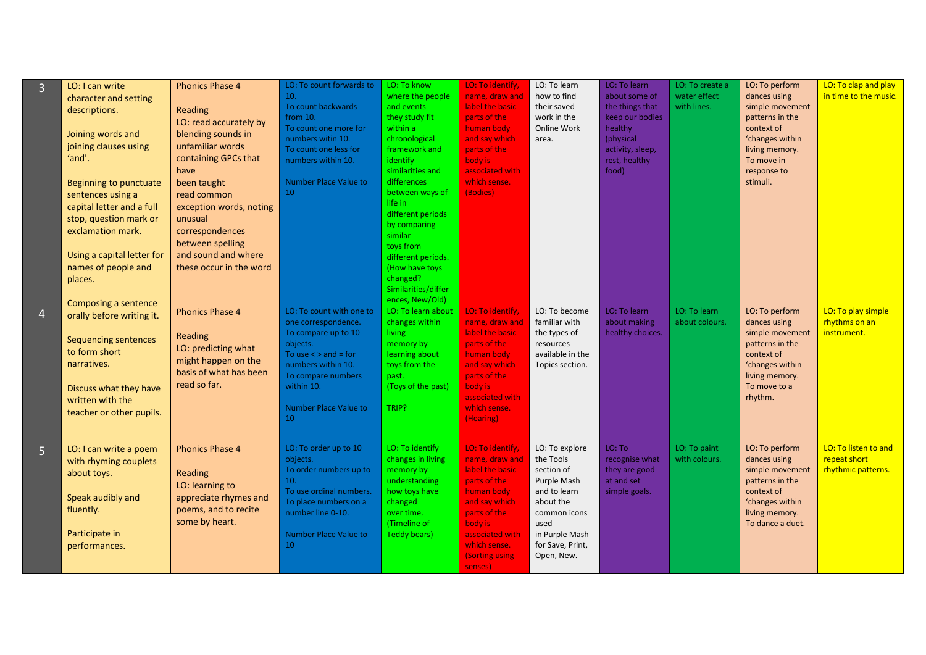| 3              | LO: I can write<br>character and setting<br>descriptions.<br>Joining words and<br>joining clauses using<br>'and'.<br>Beginning to punctuate<br>sentences using a<br>capital letter and a full<br>stop, question mark or<br>exclamation mark.<br>Using a capital letter for<br>names of people and<br>places.<br>Composing a sentence | <b>Phonics Phase 4</b><br>Reading<br>LO: read accurately by<br>blending sounds in<br>unfamiliar words<br>containing GPCs that<br>have<br>been taught<br>read common<br>exception words, noting<br>unusual<br>correspondences<br>between spelling<br>and sound and where<br>these occur in the word | LO: To count forwards to<br>10.<br>To count backwards<br>from 10.<br>To count one more for<br>numbers witin 10.<br>To count one less for<br>numbers within 10.<br>Number Place Value to<br>10           | LO: To know<br>where the people<br>and events<br>they study fit<br>within a<br>chronological<br>framework and<br>identify<br>similarities and<br>differences<br>between ways of<br>life in<br>different periods<br>by comparing<br>similar<br>toys from<br>different periods.<br>(How have toys<br>changed?<br>Similarities/differ<br>ences, New/Old) | LO: To identify,<br>name, draw and<br>label the basic<br>parts of the<br>human body<br>and say which<br>parts of the<br>body is<br>associated with<br>which sense.<br>(Bodies)                         | LO: To learn<br>how to find<br>their saved<br>work in the<br>Online Work<br>area.                                                                                 | LO: To learn<br>about some of<br>the things that<br>keep our bodies<br>healthy<br>(physical<br>activity, sleep,<br>rest, healthy<br>food) | LO: To create a<br>water effect<br>with lines. | LO: To perform<br>dances using<br>simple movement<br>patterns in the<br>context of<br>'changes within<br>living memory.<br>To move in<br>response to<br>stimuli. | LO: To clap and play<br>in time to the music.              |
|----------------|--------------------------------------------------------------------------------------------------------------------------------------------------------------------------------------------------------------------------------------------------------------------------------------------------------------------------------------|----------------------------------------------------------------------------------------------------------------------------------------------------------------------------------------------------------------------------------------------------------------------------------------------------|---------------------------------------------------------------------------------------------------------------------------------------------------------------------------------------------------------|-------------------------------------------------------------------------------------------------------------------------------------------------------------------------------------------------------------------------------------------------------------------------------------------------------------------------------------------------------|--------------------------------------------------------------------------------------------------------------------------------------------------------------------------------------------------------|-------------------------------------------------------------------------------------------------------------------------------------------------------------------|-------------------------------------------------------------------------------------------------------------------------------------------|------------------------------------------------|------------------------------------------------------------------------------------------------------------------------------------------------------------------|------------------------------------------------------------|
| 4              | orally before writing it.<br><b>Sequencing sentences</b><br>to form short<br>narratives.<br>Discuss what they have<br>written with the<br>teacher or other pupils.                                                                                                                                                                   | <b>Phonics Phase 4</b><br>Reading<br>LO: predicting what<br>might happen on the<br>basis of what has been<br>read so far.                                                                                                                                                                          | LO: To count with one to<br>one correspondence.<br>To compare up to 10<br>objects.<br>To use $\lt$ > and = for<br>numbers within 10.<br>To compare numbers<br>within 10.<br>Number Place Value to<br>10 | LO: To learn about<br>changes within<br>living<br>memory by<br>learning about<br>toys from the<br>past.<br>(Toys of the past)<br>TRIP?                                                                                                                                                                                                                | LO: To identify,<br>name, draw and<br>label the basic<br>parts of the<br>human body<br>and say which<br>parts of the<br>body is<br>associated with<br>which sense.<br>(Hearing)                        | LO: To become<br>familiar with<br>the types of<br>resources<br>available in the<br>Topics section.                                                                | LO: To learn<br>about making<br>healthy choices.                                                                                          | LO: To learn<br>about colours.                 | LO: To perform<br>dances using<br>simple movement<br>patterns in the<br>context of<br>'changes within<br>living memory.<br>To move to a<br>rhythm.               | LO: To play simple<br>rhythms on an<br>instrument.         |
| $\overline{5}$ | LO: I can write a poem<br>with rhyming couplets<br>about toys.<br>Speak audibly and<br>fluently.<br>Participate in<br>performances.                                                                                                                                                                                                  | <b>Phonics Phase 4</b><br>Reading<br>LO: learning to<br>appreciate rhymes and<br>poems, and to recite<br>some by heart.                                                                                                                                                                            | LO: To order up to 10<br>objects.<br>To order numbers up to<br>10.<br>To use ordinal numbers.<br>To place numbers on a<br>number line 0-10.<br><b>Number Place Value to</b><br>10                       | LO: To identify<br>changes in living<br>memory by<br>understanding<br>how toys have<br>changed<br>over time.<br>(Timeline of<br><b>Teddy bears)</b>                                                                                                                                                                                                   | LO: To identify,<br>name, draw and<br>label the basic<br>parts of the<br>human body<br>and say which<br>parts of the<br>body is<br>associated with<br>which sense.<br><b>(Sorting using</b><br>senses) | LO: To explore<br>the Tools<br>section of<br>Purple Mash<br>and to learn<br>about the<br>common icons<br>used<br>in Purple Mash<br>for Save, Print,<br>Open, New. | LO: To<br>recognise what<br>they are good<br>at and set<br>simple goals.                                                                  | LO: To paint<br>with colours.                  | LO: To perform<br>dances using<br>simple movement<br>patterns in the<br>context of<br>'changes within<br>living memory.<br>To dance a duet.                      | LO: To listen to and<br>repeat short<br>rhythmic patterns. |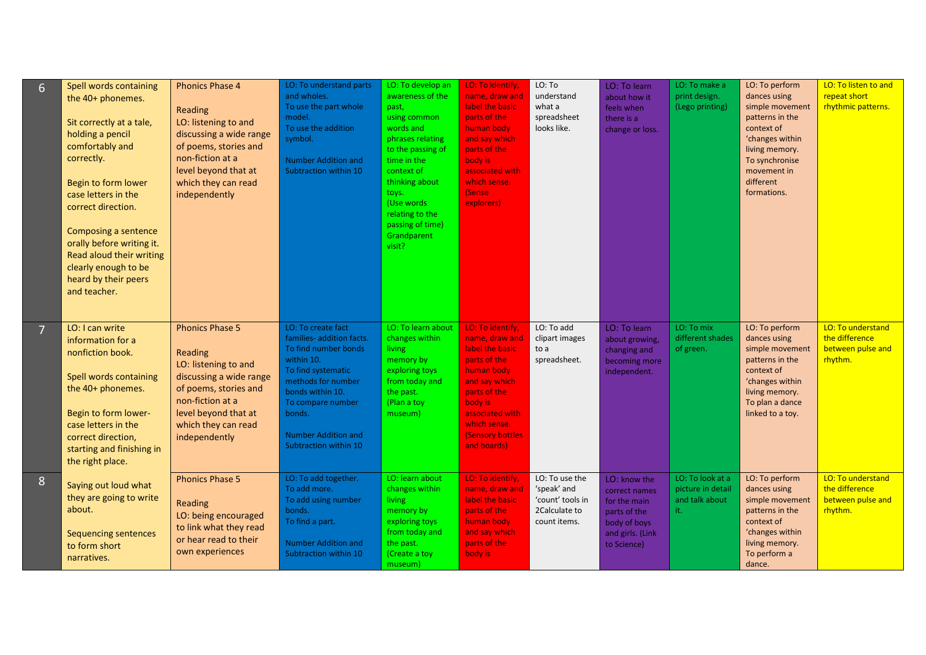| $6 \overline{6}$ | Spell words containing<br>the 40+ phonemes.<br>Sit correctly at a tale,<br>holding a pencil<br>comfortably and<br>correctly.<br>Begin to form lower<br>case letters in the<br>correct direction.<br>Composing a sentence<br>orally before writing it.<br>Read aloud their writing<br>clearly enough to be<br>heard by their peers<br>and teacher. | <b>Phonics Phase 4</b><br>Reading<br>LO: listening to and<br>discussing a wide range<br>of poems, stories and<br>non-fiction at a<br>level beyond that at<br>which they can read<br>independently | LO: To understand parts<br>and wholes.<br>To use the part whole<br>model.<br>To use the addition<br>symbol.<br><b>Number Addition and</b><br>Subtraction within 10                                                                          | LO: To develop an<br>awareness of the<br>past,<br>using common<br>words and<br>phrases relating<br>to the passing of<br>time in the<br>context of<br>thinking about<br>toys.<br>(Use words<br>relating to the<br>passing of time)<br>Grandparent<br>visit? | LO: To identify,<br>name, draw and<br>label the basic<br>parts of the<br>human body<br>and say which<br>parts of the<br>body is<br>associated with<br>which sense.<br>(Sense<br>explorers)                  | LO: To<br>understand<br>what a<br>spreadsheet<br>looks like.                       | LO: To learn<br>about how it<br>feels when<br>there is a<br>change or loss.                                      | LO: To make a<br>print design.<br>(Lego printing)              | LO: To perform<br>dances using<br>simple movement<br>patterns in the<br>context of<br>'changes within<br>living memory.<br>To synchronise<br>movement in<br>different<br>formations. | LO: To listen to and<br>repeat short<br>rhythmic patterns.          |
|------------------|---------------------------------------------------------------------------------------------------------------------------------------------------------------------------------------------------------------------------------------------------------------------------------------------------------------------------------------------------|---------------------------------------------------------------------------------------------------------------------------------------------------------------------------------------------------|---------------------------------------------------------------------------------------------------------------------------------------------------------------------------------------------------------------------------------------------|------------------------------------------------------------------------------------------------------------------------------------------------------------------------------------------------------------------------------------------------------------|-------------------------------------------------------------------------------------------------------------------------------------------------------------------------------------------------------------|------------------------------------------------------------------------------------|------------------------------------------------------------------------------------------------------------------|----------------------------------------------------------------|--------------------------------------------------------------------------------------------------------------------------------------------------------------------------------------|---------------------------------------------------------------------|
| $\overline{7}$   | LO: I can write<br>information for a<br>nonfiction book.<br>Spell words containing<br>the 40+ phonemes.<br>Begin to form lower-<br>case letters in the<br>correct direction,<br>starting and finishing in<br>the right place.                                                                                                                     | <b>Phonics Phase 5</b><br>Reading<br>LO: listening to and<br>discussing a wide range<br>of poems, stories and<br>non-fiction at a<br>level beyond that at<br>which they can read<br>independently | LO: To create fact<br>families- addition facts.<br>To find number bonds<br>within 10.<br>To find systematic<br>methods for number<br>bonds within 10.<br>To compare number<br>bonds.<br><b>Number Addition and</b><br>Subtraction within 10 | LO: To learn about<br>changes within<br>living<br>memory by<br>exploring toys<br>from today and<br>the past.<br>(Plan a toy<br>museum)                                                                                                                     | LO: To identify,<br>name, draw and<br>label the basic<br>parts of the<br>human body<br>and say which<br>parts of the<br>body is<br>associated with<br>which sense.<br><b>Sensory bottles</b><br>and boards) | LO: To add<br>clipart images<br>to a<br>spreadsheet.                               | LO: To learn<br>about growing,<br>changing and<br>becoming more<br>independent.                                  | LO: To mix<br>different shades<br>of green.                    | LO: To perform<br>dances using<br>simple movement<br>patterns in the<br>context of<br>'changes within<br>living memory.<br>To plan a dance<br>linked to a toy.                       | LO: To understand<br>the difference<br>between pulse and<br>rhythm. |
| 8                | Saying out loud what<br>they are going to write<br>about.<br><b>Sequencing sentences</b><br>to form short<br>narratives.                                                                                                                                                                                                                          | <b>Phonics Phase 5</b><br>Reading<br>LO: being encouraged<br>to link what they read<br>or hear read to their<br>own experiences                                                                   | LO: To add together.<br>To add more.<br>To add using number<br>bonds.<br>To find a part.<br><b>Number Addition and</b><br>Subtraction within 10                                                                                             | LO: learn about<br>changes within<br>living<br>memory by<br>exploring toys<br>from today and<br>the past.<br>(Create a toy<br>museum)                                                                                                                      | LO: To identify,<br>name, draw and<br>label the basic<br>parts of the<br>human body<br>and say which<br>parts of the<br>body is                                                                             | LO: To use the<br>'speak' and<br>'count' tools in<br>2Calculate to<br>count items. | LO: know the<br>correct names<br>for the main<br>parts of the<br>body of boys<br>and girls. (Link<br>to Science) | LO: To look at a<br>picture in detail<br>and talk about<br>it. | LO: To perform<br>dances using<br>simple movement<br>patterns in the<br>context of<br>'changes within<br>living memory.<br>To perform a<br>dance.                                    | LO: To understand<br>the difference<br>between pulse and<br>rhythm. |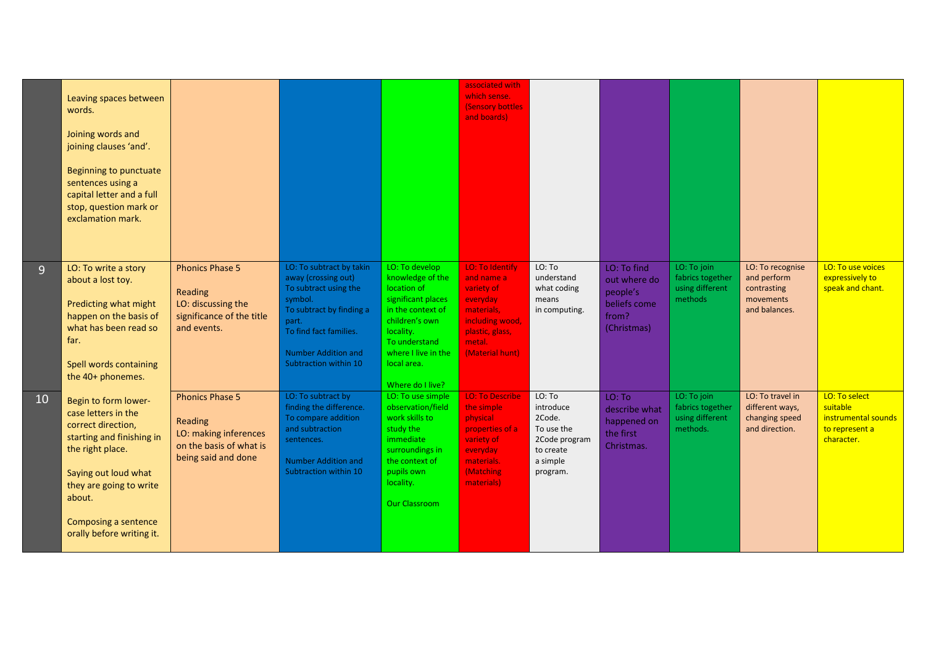|                | Leaving spaces between<br>words.<br>Joining words and<br>joining clauses 'and'.<br>Beginning to punctuate<br>sentences using a<br>capital letter and a full<br>stop, question mark or<br>exclamation mark.                           |                                                                                                              |                                                                                                                                                                                                           |                                                                                                                                                                                                        | associated with<br>which sense.<br>(Sensory bottles<br>and boards)                                                                       |                                                                                                   |                                                                                 |                                                                |                                                                              |                                                                                  |
|----------------|--------------------------------------------------------------------------------------------------------------------------------------------------------------------------------------------------------------------------------------|--------------------------------------------------------------------------------------------------------------|-----------------------------------------------------------------------------------------------------------------------------------------------------------------------------------------------------------|--------------------------------------------------------------------------------------------------------------------------------------------------------------------------------------------------------|------------------------------------------------------------------------------------------------------------------------------------------|---------------------------------------------------------------------------------------------------|---------------------------------------------------------------------------------|----------------------------------------------------------------|------------------------------------------------------------------------------|----------------------------------------------------------------------------------|
| $\overline{9}$ | LO: To write a story<br>about a lost toy.<br>Predicting what might<br>happen on the basis of<br>what has been read so<br>far.<br>Spell words containing<br>the 40+ phonemes.                                                         | <b>Phonics Phase 5</b><br>Reading<br>LO: discussing the<br>significance of the title<br>and events.          | LO: To subtract by takin<br>away (crossing out)<br>To subtract using the<br>symbol.<br>To subtract by finding a<br>part.<br>To find fact families.<br><b>Number Addition and</b><br>Subtraction within 10 | LO: To develop<br>knowledge of the<br>location of<br>significant places<br>in the context of<br>children's own<br>locality.<br>To understand<br>where I live in the<br>local area.<br>Where do I live? | LO: To Identify<br>and name a<br>variety of<br>everyday<br>materials,<br>including wood,<br>plastic, glass,<br>metal.<br>(Material hunt) | LO: To<br>understand<br>what coding<br>means<br>in computing.                                     | LO: To find<br>out where do<br>people's<br>beliefs come<br>from?<br>(Christmas) | LO: To join<br>fabrics together<br>using different<br>methods  | LO: To recognise<br>and perform<br>contrasting<br>movements<br>and balances. | LO: To use voices<br>expressively to<br>speak and chant.                         |
| 10             | Begin to form lower-<br>case letters in the<br>correct direction,<br>starting and finishing in<br>the right place.<br>Saying out loud what<br>they are going to write<br>about.<br>Composing a sentence<br>orally before writing it. | <b>Phonics Phase 5</b><br>Reading<br>LO: making inferences<br>on the basis of what is<br>being said and done | LO: To subtract by<br>finding the difference.<br>To compare addition<br>and subtraction<br>sentences.<br><b>Number Addition and</b><br>Subtraction within 10                                              | LO: To use simple<br>observation/field<br>work skills to<br>study the<br><i>immediate</i><br>surroundings in<br>the context of<br>pupils own<br>locality.<br><b>Our Classroom</b>                      | <b>LO: To Describe</b><br>the simple<br>physical<br>properties of a<br>variety of<br>everyday<br>materials.<br>(Matching<br>materials)   | LO: To<br>introduce<br>2Code.<br>To use the<br>2Code program<br>to create<br>a simple<br>program. | LO: To<br>describe what<br>happened on<br>the first<br>Christmas.               | LO: To join<br>fabrics together<br>using different<br>methods. | LO: To travel in<br>different ways,<br>changing speed<br>and direction.      | LO: To select<br>suitable<br>instrumental sounds<br>to represent a<br>character. |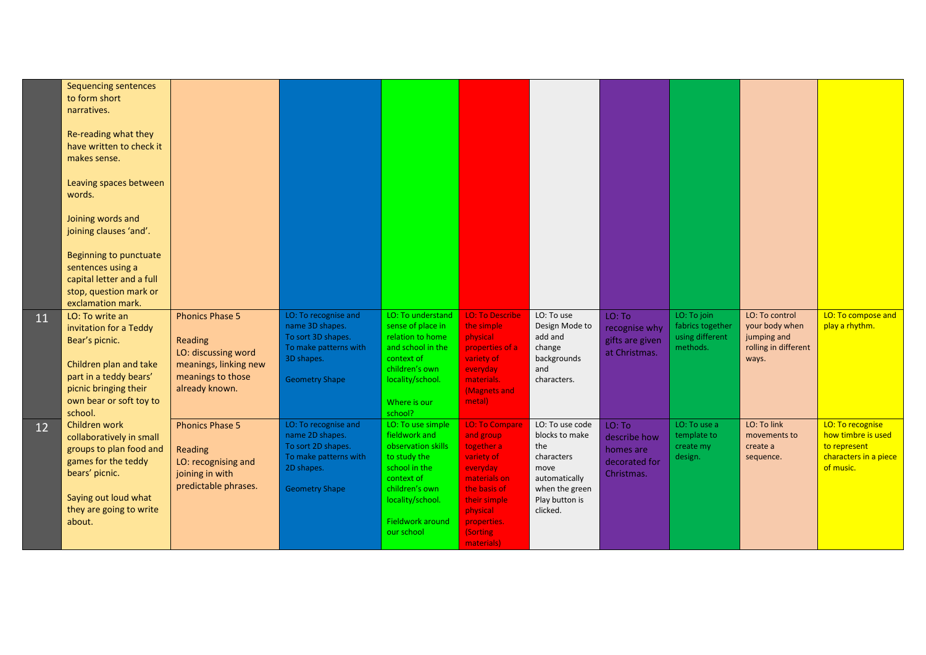|    | <b>Sequencing sentences</b><br>to form short<br>narratives.                                                   |                                                                                                     |                                                                                                      |                                                                                                         |                                                                                            |                                                                                 |                                                                    |                                                                |                                                                                  |                                                                                              |
|----|---------------------------------------------------------------------------------------------------------------|-----------------------------------------------------------------------------------------------------|------------------------------------------------------------------------------------------------------|---------------------------------------------------------------------------------------------------------|--------------------------------------------------------------------------------------------|---------------------------------------------------------------------------------|--------------------------------------------------------------------|----------------------------------------------------------------|----------------------------------------------------------------------------------|----------------------------------------------------------------------------------------------|
|    | Re-reading what they<br>have written to check it<br>makes sense.                                              |                                                                                                     |                                                                                                      |                                                                                                         |                                                                                            |                                                                                 |                                                                    |                                                                |                                                                                  |                                                                                              |
|    | Leaving spaces between<br>words.                                                                              |                                                                                                     |                                                                                                      |                                                                                                         |                                                                                            |                                                                                 |                                                                    |                                                                |                                                                                  |                                                                                              |
|    | Joining words and<br>joining clauses 'and'.                                                                   |                                                                                                     |                                                                                                      |                                                                                                         |                                                                                            |                                                                                 |                                                                    |                                                                |                                                                                  |                                                                                              |
|    | <b>Beginning to punctuate</b><br>sentences using a                                                            |                                                                                                     |                                                                                                      |                                                                                                         |                                                                                            |                                                                                 |                                                                    |                                                                |                                                                                  |                                                                                              |
|    | capital letter and a full                                                                                     |                                                                                                     |                                                                                                      |                                                                                                         |                                                                                            |                                                                                 |                                                                    |                                                                |                                                                                  |                                                                                              |
|    | stop, question mark or<br>exclamation mark.                                                                   |                                                                                                     |                                                                                                      |                                                                                                         |                                                                                            |                                                                                 |                                                                    |                                                                |                                                                                  |                                                                                              |
| 11 | LO: To write an<br>invitation for a Teddy<br>Bear's picnic.                                                   | <b>Phonics Phase 5</b><br>Reading<br>LO: discussing word                                            | LO: To recognise and<br>name 3D shapes.<br>To sort 3D shapes.<br>To make patterns with<br>3D shapes. | LO: To understand<br>sense of place in<br>relation to home<br>and school in the<br>context of           | <b>LO: To Describe</b><br>the simple<br>physical<br>properties of a<br>variety of          | LO: To use<br>Design Mode to<br>add and<br>change<br>backgrounds                | LO: To<br>recognise why<br>gifts are given<br>at Christmas.        | LO: To join<br>fabrics together<br>using different<br>methods. | LO: To control<br>your body when<br>jumping and<br>rolling in different<br>ways. | LO: To compose and<br>play a rhythm.                                                         |
|    | Children plan and take<br>part in a teddy bears'<br>picnic bringing their<br>own bear or soft toy to          | meanings, linking new<br>meanings to those<br>already known.                                        | <b>Geometry Shape</b>                                                                                | children's own<br>locality/school.                                                                      | everyday<br>materials.<br>(Magnets and<br>metal)                                           | and<br>characters.                                                              |                                                                    |                                                                |                                                                                  |                                                                                              |
|    | school.                                                                                                       |                                                                                                     |                                                                                                      | Where is our<br>school?                                                                                 |                                                                                            |                                                                                 |                                                                    |                                                                |                                                                                  |                                                                                              |
| 12 | Children work<br>collaboratively in small<br>groups to plan food and<br>games for the teddy<br>bears' picnic. | <b>Phonics Phase 5</b><br>Reading<br>LO: recognising and<br>joining in with<br>predictable phrases. | LO: To recognise and<br>name 2D shapes.<br>To sort 2D shapes.<br>To make patterns with<br>2D shapes. | LO: To use simple<br>fieldwork and<br>observation skills<br>to study the<br>school in the<br>context of | <b>LO: To Compare</b><br>and group<br>together a<br>variety of<br>everyday<br>materials on | LO: To use code<br>blocks to make<br>the<br>characters<br>move<br>automatically | LO: To<br>describe how<br>homes are<br>decorated for<br>Christmas. | LO: To use a<br>template to<br>create my<br>design.            | LO: To link<br>movements to<br>create a<br>sequence.                             | LO: To recognise<br>how timbre is used<br>to represent<br>characters in a piece<br>of music. |
|    | Saying out loud what<br>they are going to write                                                               |                                                                                                     | <b>Geometry Shape</b>                                                                                | children's own<br>locality/school.<br><b>Fieldwork around</b>                                           | the basis of<br>their simple<br>physical                                                   | when the green<br>Play button is<br>clicked.                                    |                                                                    |                                                                |                                                                                  |                                                                                              |
|    | about.                                                                                                        |                                                                                                     |                                                                                                      | our school                                                                                              | properties.<br>(Sorting<br>materials)                                                      |                                                                                 |                                                                    |                                                                |                                                                                  |                                                                                              |